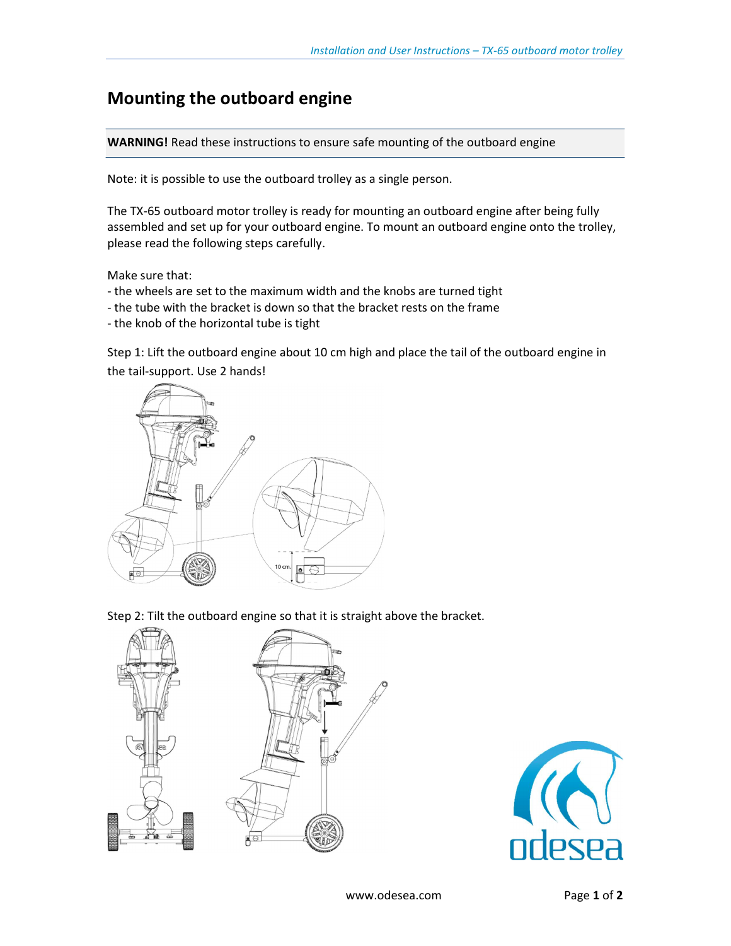## Mounting the outboard engine

WARNING! Read these instructions to ensure safe mounting of the outboard engine

Note: it is possible to use the outboard trolley as a single person.

The TX-65 outboard motor trolley is ready for mounting an outboard engine after being fully assembled and set up for your outboard engine. To mount an outboard engine onto the trolley, please read the following steps carefully.

Make sure that:

- the wheels are set to the maximum width and the knobs are turned tight
- the tube with the bracket is down so that the bracket rests on the frame
- the knob of the horizontal tube is tight

Step 1: Lift the outboard engine about 10 cm high and place the tail of the outboard engine in the tail-support. Use 2 hands!



Step 2: Tilt the outboard engine so that it is straight above the bracket.